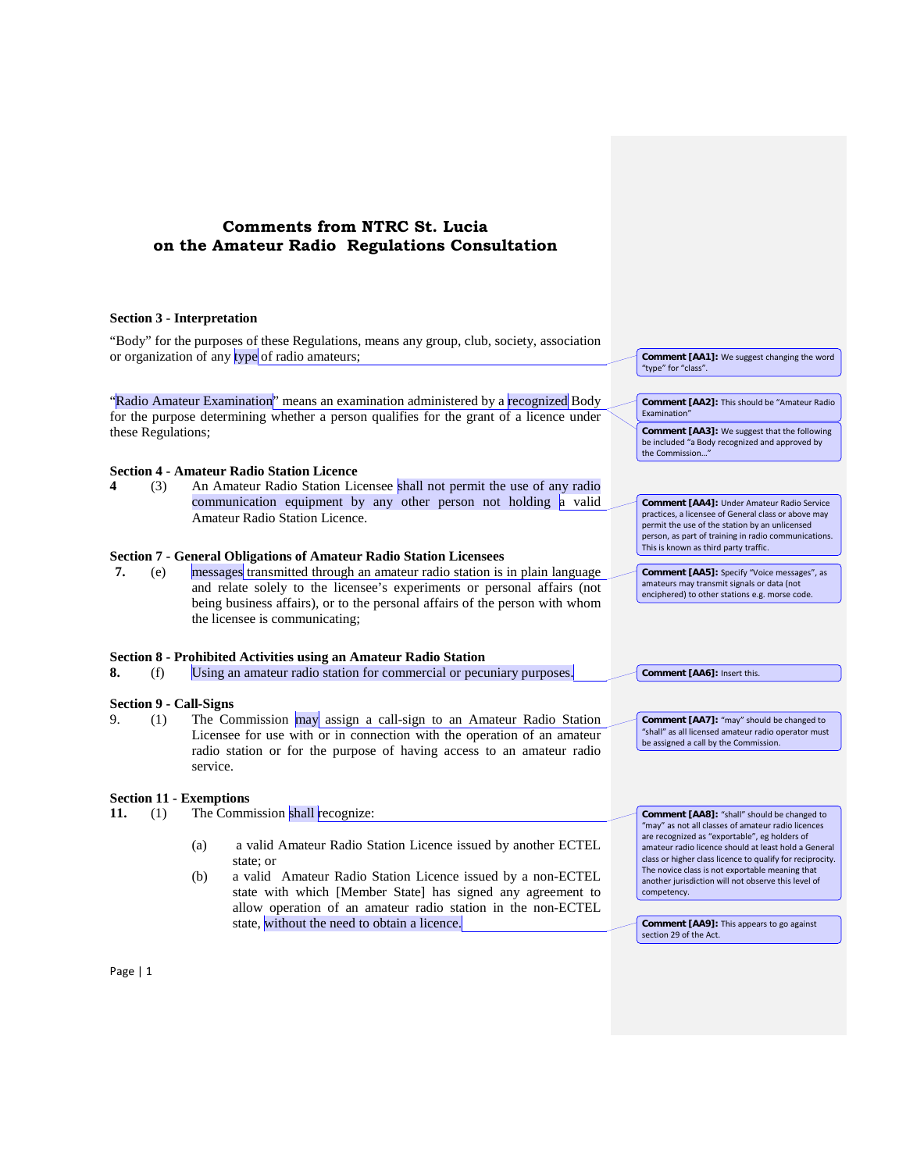## **Comments from NTRC St. Lucia on the Amateur Radio Regulations Consultation**

**Section 3 - Interpretation** "Body" for the purposes of these Regulations, means any group, club, society, association or organization of any type of radio amateurs; "Radio Amateur Examination" means an examination administered by a recognized Body for the purpose determining whether a person qualifies for the grant of a licence under these Regulations; **Section 4 - Amateur Radio Station Licence 4** (3) An Amateur Radio Station Licensee shall not permit the use of any radio communication equipment by any other person not holding a valid Amateur Radio Station Licence. **Section 7 - General Obligations of Amateur Radio Station Licensees 7.** (e) messages transmitted through an amateur radio station is in plain language and relate solely to the licensee's experiments or personal affairs (not being business affairs), or to the personal affairs of the person with whom the licensee is communicating; **Section 8 - Prohibited Activities using an Amateur Radio Station 8.** (f) Using an amateur radio station for commercial or pecuniary purposes. **Section 9 - Call-Signs** 9. (1) The Commission may assign a call-sign to an Amateur Radio Station Licensee for use with or in connection with the operation of an amateur radio station or for the purpose of having access to an amateur radio service. **Section 11 - Exemptions** 11. **11. 11.** The Commission shall recognize: (a) a valid Amateur Radio Station Licence issued by another ECTEL state; or (b) a valid Amateur Radio Station Licence issued by a non-ECTEL state with which [Member State] has signed any agreement to allow operation of an amateur radio station in the non-ECTEL state, without the need to obtain a licence. **Comment [AA1]:** We suggest changing the word "type" for "class". **Comment [AA2]:** This should be "Amateur Radio Examination" **Comment [AA3]:** We suggest that the following be included "a Body recognized and approved by the Commission... **Comment [AA4]:** Under Amateur Radio Service practices, a licensee of General class or above may permit the use of the station by an unlicensed person, as part of training in radio communications. This is known as third party traffic. **Comment [AA5]:** Specify "Voice messages", as amateurs may transmit signals or data (not enciphered) to other stations e.g. morse code. **Comment [AA6]:** Insert this. **Comment [AA7]:** "may" should be changed to "shall" as all licensed amateur radio operator must be assigned a call by the Commission. **Comment [AA8]:** "shall" should be changed to "may" as not all classes of amateur radio licences are recognized as "exportable", eg holders of amateur radio licence should at least hold a General class or higher class licence to qualify for reciprocity. The novice class is not exportable meaning that another jurisdiction will not observe this level of competency. **Comment [AA9]:** This appears to go against section 29 of the Act.

Page | 1